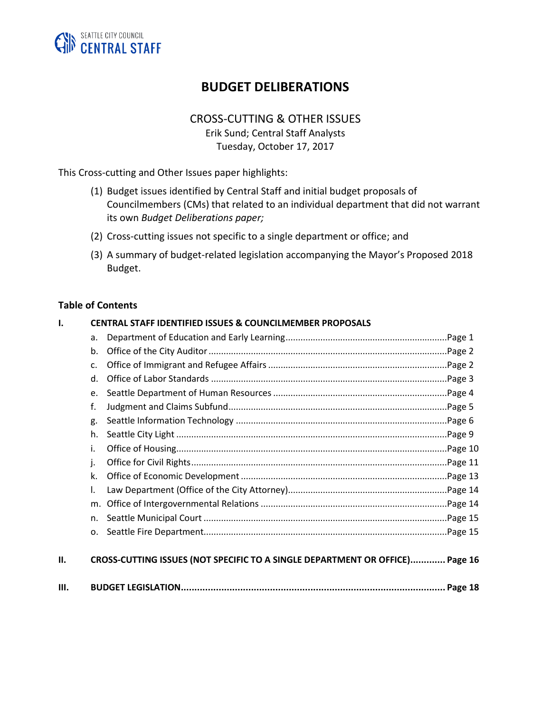

# **BUDGET DELIBERATIONS**

# CROSS-CUTTING & OTHER ISSUES

Erik Sund; Central Staff Analysts Tuesday, October 17, 2017

This Cross-cutting and Other Issues paper highlights:

- (1) Budget issues identified by Central Staff and initial budget proposals of Councilmembers (CMs) that related to an individual department that did not warrant its own *Budget Deliberations paper;*
- (2) Cross-cutting issues not specific to a single department or office; and
- (3) A summary of budget-related legislation accompanying the Mayor's Proposed 2018 Budget.

#### **Table of Contents**

| $\mathbf{I}$ |    | <b>CENTRAL STAFF IDENTIFIED ISSUES &amp; COUNCILMEMBER PROPOSALS</b>         |  |
|--------------|----|------------------------------------------------------------------------------|--|
|              | a. |                                                                              |  |
|              | b. |                                                                              |  |
|              | c. |                                                                              |  |
|              | d. |                                                                              |  |
|              | e. |                                                                              |  |
|              | f. |                                                                              |  |
|              | g. |                                                                              |  |
|              | h. |                                                                              |  |
|              | i. |                                                                              |  |
|              | j. |                                                                              |  |
|              | k. |                                                                              |  |
|              | I. |                                                                              |  |
|              | m. |                                                                              |  |
|              | n. |                                                                              |  |
|              | 0. |                                                                              |  |
| П.           |    | CROSS-CUTTING ISSUES (NOT SPECIFIC TO A SINGLE DEPARTMENT OR OFFICE) Page 16 |  |
| III.         |    |                                                                              |  |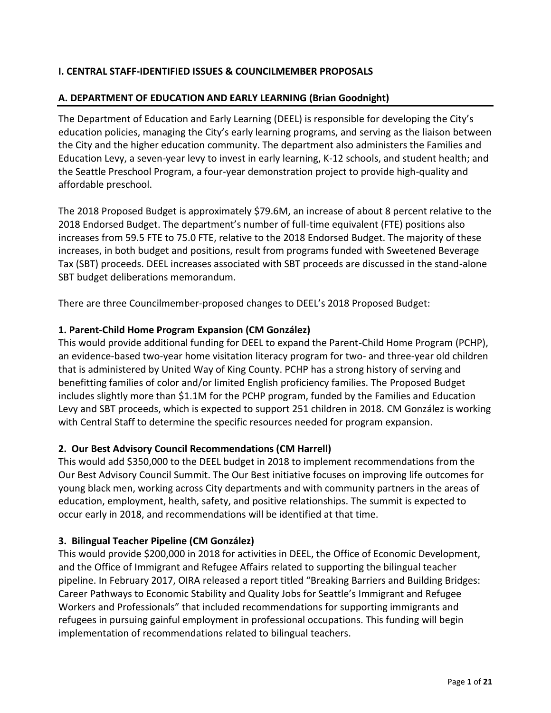### **I. CENTRAL STAFF-IDENTIFIED ISSUES & COUNCILMEMBER PROPOSALS**

#### **A. DEPARTMENT OF EDUCATION AND EARLY LEARNING (Brian Goodnight)**

The Department of Education and Early Learning (DEEL) is responsible for developing the City's education policies, managing the City's early learning programs, and serving as the liaison between the City and the higher education community. The department also administers the Families and Education Levy, a seven-year levy to invest in early learning, K-12 schools, and student health; and the Seattle Preschool Program, a four-year demonstration project to provide high-quality and affordable preschool.

The 2018 Proposed Budget is approximately \$79.6M, an increase of about 8 percent relative to the 2018 Endorsed Budget. The department's number of full-time equivalent (FTE) positions also increases from 59.5 FTE to 75.0 FTE, relative to the 2018 Endorsed Budget. The majority of these increases, in both budget and positions, result from programs funded with Sweetened Beverage Tax (SBT) proceeds. DEEL increases associated with SBT proceeds are discussed in the stand-alone SBT budget deliberations memorandum.

There are three Councilmember-proposed changes to DEEL's 2018 Proposed Budget:

#### **1. Parent-Child Home Program Expansion (CM González)**

This would provide additional funding for DEEL to expand the Parent-Child Home Program (PCHP), an evidence-based two-year home visitation literacy program for two- and three-year old children that is administered by United Way of King County. PCHP has a strong history of serving and benefitting families of color and/or limited English proficiency families. The Proposed Budget includes slightly more than \$1.1M for the PCHP program, funded by the Families and Education Levy and SBT proceeds, which is expected to support 251 children in 2018. CM González is working with Central Staff to determine the specific resources needed for program expansion.

#### **2. Our Best Advisory Council Recommendations (CM Harrell)**

This would add \$350,000 to the DEEL budget in 2018 to implement recommendations from the Our Best Advisory Council Summit. The Our Best initiative focuses on improving life outcomes for young black men, working across City departments and with community partners in the areas of education, employment, health, safety, and positive relationships. The summit is expected to occur early in 2018, and recommendations will be identified at that time.

#### **3. Bilingual Teacher Pipeline (CM González)**

This would provide \$200,000 in 2018 for activities in DEEL, the Office of Economic Development, and the Office of Immigrant and Refugee Affairs related to supporting the bilingual teacher pipeline. In February 2017, OIRA released a report titled "Breaking Barriers and Building Bridges: Career Pathways to Economic Stability and Quality Jobs for Seattle's Immigrant and Refugee Workers and Professionals" that included recommendations for supporting immigrants and refugees in pursuing gainful employment in professional occupations. This funding will begin implementation of recommendations related to bilingual teachers.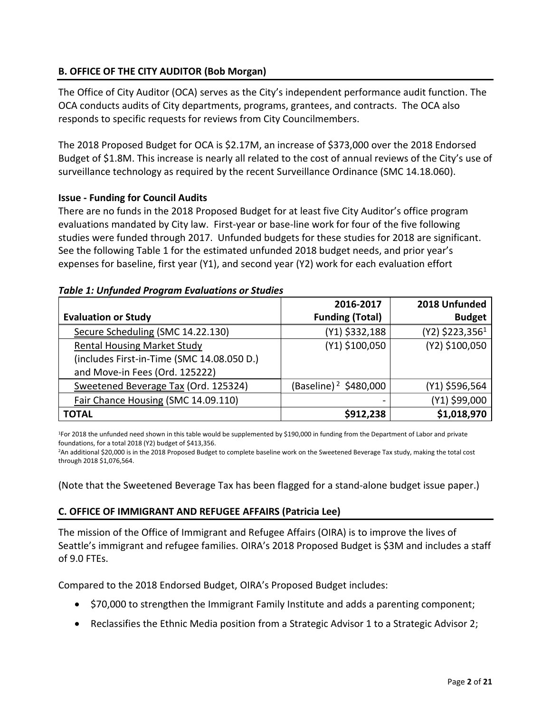### **B. OFFICE OF THE CITY AUDITOR (Bob Morgan)**

The Office of City Auditor (OCA) serves as the City's independent performance audit function. The OCA conducts audits of City departments, programs, grantees, and contracts. The OCA also responds to specific requests for reviews from City Councilmembers.

The 2018 Proposed Budget for OCA is \$2.17M, an increase of \$373,000 over the 2018 Endorsed Budget of \$1.8M. This increase is nearly all related to the cost of annual reviews of the City's use of surveillance technology as required by the recent Surveillance Ordinance (SMC 14.18.060).

### **Issue - Funding for Council Audits**

There are no funds in the 2018 Proposed Budget for at least five City Auditor's office program evaluations mandated by City law. First-year or base-line work for four of the five following studies were funded through 2017. Unfunded budgets for these studies for 2018 are significant. See the following Table 1 for the estimated unfunded 2018 budget needs, and prior year's expenses for baseline, first year (Y1), and second year (Y2) work for each evaluation effort

|                                            | 2016-2017                         | 2018 Unfunded                 |
|--------------------------------------------|-----------------------------------|-------------------------------|
| <b>Evaluation or Study</b>                 | <b>Funding (Total)</b>            | <b>Budget</b>                 |
| Secure Scheduling (SMC 14.22.130)          | (Y1) \$332,188                    | $(Y2)$ \$223,356 <sup>1</sup> |
| <b>Rental Housing Market Study</b>         | (Y1) \$100,050                    | (Y2) \$100,050                |
| (includes First-in-Time (SMC 14.08.050 D.) |                                   |                               |
| and Move-in Fees (Ord. 125222)             |                                   |                               |
| Sweetened Beverage Tax (Ord. 125324)       | (Baseline) <sup>2</sup> \$480,000 | (Y1) \$596,564                |
| Fair Chance Housing (SMC 14.09.110)        |                                   | (Y1) \$99,000                 |
| <b>TOTAL</b>                               | \$912,238                         | \$1,018,970                   |

#### *Table 1: Unfunded Program Evaluations or Studies*

<sup>1</sup>For 2018 the unfunded need shown in this table would be supplemented by \$190,000 in funding from the Department of Labor and private foundations, for a total 2018 (Y2) budget of \$413,356.

<sup>2</sup>An additional \$20,000 is in the 2018 Proposed Budget to complete baseline work on the Sweetened Beverage Tax study, making the total cost through 2018 \$1,076,564.

(Note that the Sweetened Beverage Tax has been flagged for a stand-alone budget issue paper.)

### **C. OFFICE OF IMMIGRANT AND REFUGEE AFFAIRS (Patricia Lee)**

The mission of the Office of Immigrant and Refugee Affairs (OIRA) is to improve the lives of Seattle's immigrant and refugee families. OIRA's 2018 Proposed Budget is \$3M and includes a staff of 9.0 FTEs.

Compared to the 2018 Endorsed Budget, OIRA's Proposed Budget includes:

- \$70,000 to strengthen the Immigrant Family Institute and adds a parenting component;
- Reclassifies the Ethnic Media position from a Strategic Advisor 1 to a Strategic Advisor 2;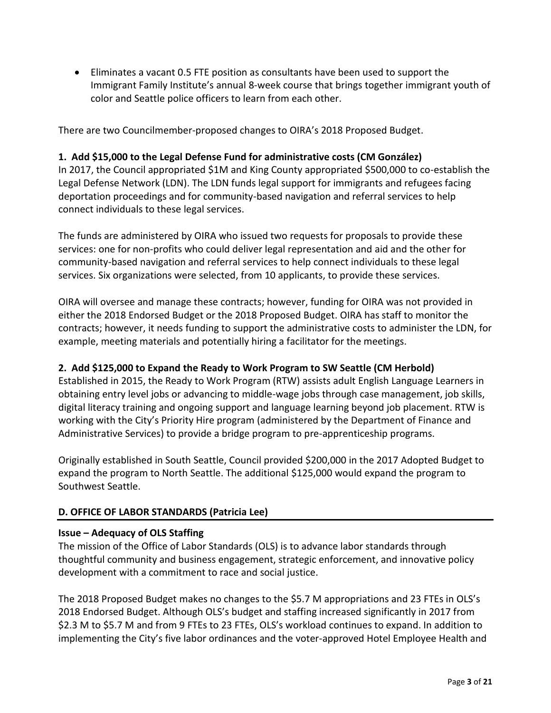• Eliminates a vacant 0.5 FTE position as consultants have been used to support the Immigrant Family Institute's annual 8-week course that brings together immigrant youth of color and Seattle police officers to learn from each other.

There are two Councilmember-proposed changes to OIRA's 2018 Proposed Budget.

#### **1. Add \$15,000 to the Legal Defense Fund for administrative costs (CM González)**

In 2017, the Council appropriated \$1M and King County appropriated \$500,000 to co-establish the Legal Defense Network (LDN). The LDN funds legal support for immigrants and refugees facing deportation proceedings and for community-based navigation and referral services to help connect individuals to these legal services.

The funds are administered by OIRA who issued two requests for proposals to provide these services: one for non-profits who could deliver legal representation and aid and the other for community-based navigation and referral services to help connect individuals to these legal services. Six organizations were selected, from 10 applicants, to provide these services.

OIRA will oversee and manage these contracts; however, funding for OIRA was not provided in either the 2018 Endorsed Budget or the 2018 Proposed Budget. OIRA has staff to monitor the contracts; however, it needs funding to support the administrative costs to administer the LDN, for example, meeting materials and potentially hiring a facilitator for the meetings.

### **2. Add \$125,000 to Expand the Ready to Work Program to SW Seattle (CM Herbold)**

Established in 2015, the Ready to Work Program (RTW) assists adult English Language Learners in obtaining entry level jobs or advancing to middle-wage jobs through case management, job skills, digital literacy training and ongoing support and language learning beyond job placement. RTW is working with the City's Priority Hire program (administered by the Department of Finance and Administrative Services) to provide a bridge program to pre-apprenticeship programs.

Originally established in South Seattle, Council provided \$200,000 in the 2017 Adopted Budget to expand the program to North Seattle. The additional \$125,000 would expand the program to Southwest Seattle.

### **D. OFFICE OF LABOR STANDARDS (Patricia Lee)**

#### **Issue – Adequacy of OLS Staffing**

The mission of the Office of Labor Standards (OLS) is to advance labor standards through thoughtful community and business engagement, strategic enforcement, and innovative policy development with a commitment to race and social justice.

The 2018 Proposed Budget makes no changes to the \$5.7 M appropriations and 23 FTEs in OLS's 2018 Endorsed Budget. Although OLS's budget and staffing increased significantly in 2017 from \$2.3 M to \$5.7 M and from 9 FTEs to 23 FTEs, OLS's workload continues to expand. In addition to implementing the City's five labor ordinances and the voter-approved Hotel Employee Health and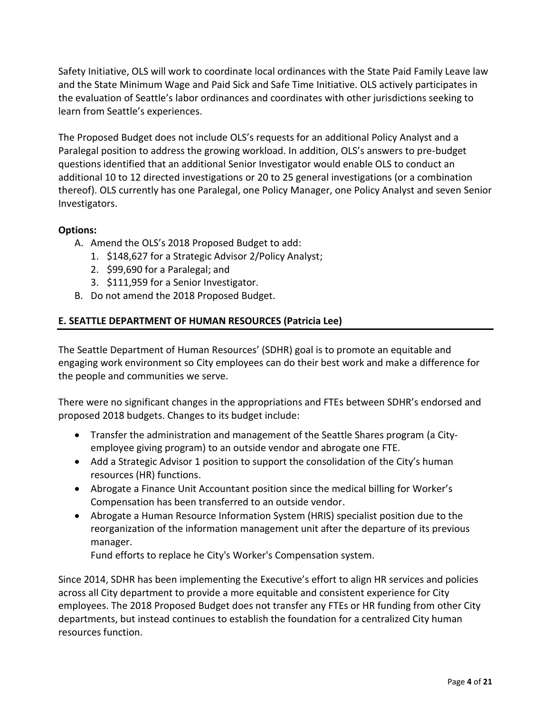Safety Initiative, OLS will work to coordinate local ordinances with the State Paid Family Leave law and the State Minimum Wage and Paid Sick and Safe Time Initiative. OLS actively participates in the evaluation of Seattle's labor ordinances and coordinates with other jurisdictions seeking to learn from Seattle's experiences.

The Proposed Budget does not include OLS's requests for an additional Policy Analyst and a Paralegal position to address the growing workload. In addition, OLS's answers to pre-budget questions identified that an additional Senior Investigator would enable OLS to conduct an additional 10 to 12 directed investigations or 20 to 25 general investigations (or a combination thereof). OLS currently has one Paralegal, one Policy Manager, one Policy Analyst and seven Senior Investigators.

# **Options:**

- A. Amend the OLS's 2018 Proposed Budget to add:
	- 1. \$148,627 for a Strategic Advisor 2/Policy Analyst;
	- 2. \$99,690 for a Paralegal; and
	- 3. \$111,959 for a Senior Investigator.
- B. Do not amend the 2018 Proposed Budget.

# **E. SEATTLE DEPARTMENT OF HUMAN RESOURCES (Patricia Lee)**

The Seattle Department of Human Resources' (SDHR) goal is to promote an equitable and engaging work environment so City employees can do their best work and make a difference for the people and communities we serve.

There were no significant changes in the appropriations and FTEs between SDHR's endorsed and proposed 2018 budgets. Changes to its budget include:

- Transfer the administration and management of the Seattle Shares program (a Cityemployee giving program) to an outside vendor and abrogate one FTE.
- Add a Strategic Advisor 1 position to support the consolidation of the City's human resources (HR) functions.
- Abrogate a Finance Unit Accountant position since the medical billing for Worker's Compensation has been transferred to an outside vendor.
- Abrogate a Human Resource Information System (HRIS) specialist position due to the reorganization of the information management unit after the departure of its previous manager.

Fund efforts to replace he City's Worker's Compensation system.

Since 2014, SDHR has been implementing the Executive's effort to align HR services and policies across all City department to provide a more equitable and consistent experience for City employees. The 2018 Proposed Budget does not transfer any FTEs or HR funding from other City departments, but instead continues to establish the foundation for a centralized City human resources function.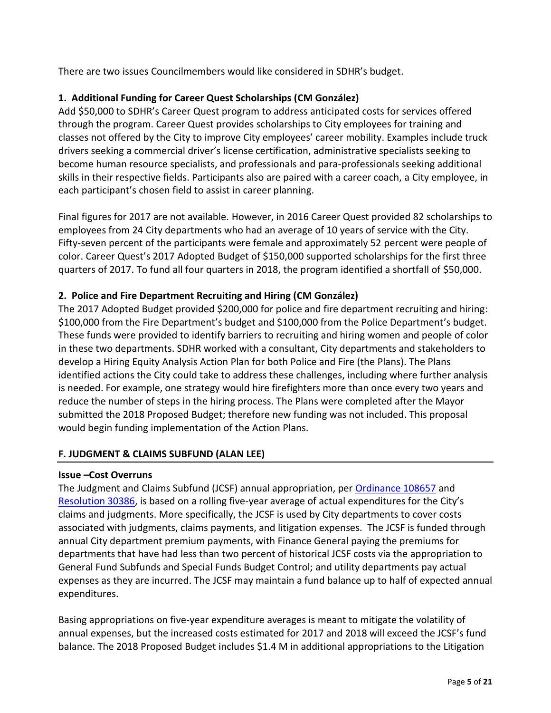There are two issues Councilmembers would like considered in SDHR's budget.

# **1. Additional Funding for Career Quest Scholarships (CM González)**

Add \$50,000 to SDHR's Career Quest program to address anticipated costs for services offered through the program. Career Quest provides scholarships to City employees for training and classes not offered by the City to improve City employees' career mobility. Examples include truck drivers seeking a commercial driver's license certification, administrative specialists seeking to become human resource specialists, and professionals and para-professionals seeking additional skills in their respective fields. Participants also are paired with a career coach, a City employee, in each participant's chosen field to assist in career planning.

Final figures for 2017 are not available. However, in 2016 Career Quest provided 82 scholarships to employees from 24 City departments who had an average of 10 years of service with the City. Fifty-seven percent of the participants were female and approximately 52 percent were people of color. Career Quest's 2017 Adopted Budget of \$150,000 supported scholarships for the first three quarters of 2017. To fund all four quarters in 2018, the program identified a shortfall of \$50,000.

# **2. Police and Fire Department Recruiting and Hiring (CM González)**

The 2017 Adopted Budget provided \$200,000 for police and fire department recruiting and hiring: \$100,000 from the Fire Department's budget and \$100,000 from the Police Department's budget. These funds were provided to identify barriers to recruiting and hiring women and people of color in these two departments. SDHR worked with a consultant, City departments and stakeholders to develop a Hiring Equity Analysis Action Plan for both Police and Fire (the Plans). The Plans identified actions the City could take to address these challenges, including where further analysis is needed. For example, one strategy would hire firefighters more than once every two years and reduce the number of steps in the hiring process. The Plans were completed after the Mayor submitted the 2018 Proposed Budget; therefore new funding was not included. This proposal would begin funding implementation of the Action Plans.

### **F. JUDGMENT & CLAIMS SUBFUND (ALAN LEE)**

### **Issue –Cost Overruns**

The Judgment and Claims Subfund (JCSF) annual appropriation, pe[r Ordinance 108657](http://clerk.seattle.gov/~archives/Ordinances/Ord_108657.pdf) and [Resolution 30386,](http://clerk.seattle.gov/~scripts/nph-brs.exe?s1=&s3=30386&s2=&s4=&Sect4=AND&l=200&Sect2=THESON&Sect3=PLURON&Sect5=RESNY&Sect6=HITOFF&d=RESF&p=1&u=%2F~public%2Fresny.htm&r=1&f=G) is based on a rolling five-year average of actual expenditures for the City's claims and judgments. More specifically, the JCSF is used by City departments to cover costs associated with judgments, claims payments, and litigation expenses. The JCSF is funded through annual City department premium payments, with Finance General paying the premiums for departments that have had less than two percent of historical JCSF costs via the appropriation to General Fund Subfunds and Special Funds Budget Control; and utility departments pay actual expenses as they are incurred. The JCSF may maintain a fund balance up to half of expected annual expenditures.

Basing appropriations on five-year expenditure averages is meant to mitigate the volatility of annual expenses, but the increased costs estimated for 2017 and 2018 will exceed the JCSF's fund balance. The 2018 Proposed Budget includes \$1.4 M in additional appropriations to the Litigation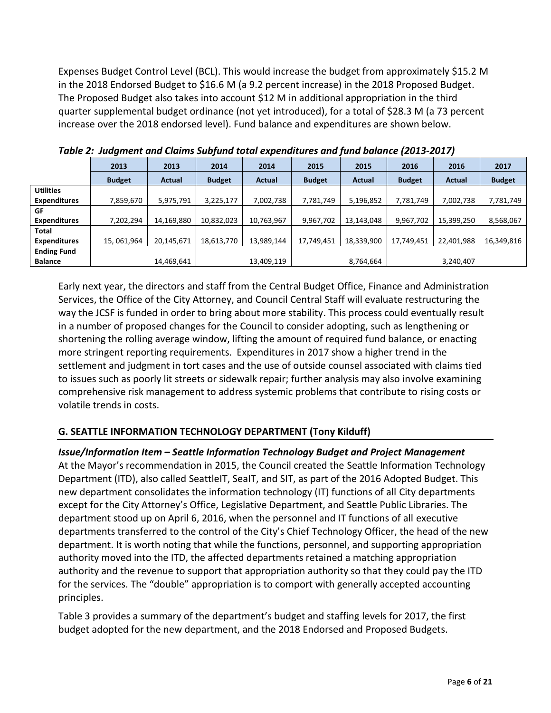Expenses Budget Control Level (BCL). This would increase the budget from approximately \$15.2 M in the 2018 Endorsed Budget to \$16.6 M (a 9.2 percent increase) in the 2018 Proposed Budget. The Proposed Budget also takes into account \$12 M in additional appropriation in the third quarter supplemental budget ordinance (not yet introduced), for a total of \$28.3 M (a 73 percent increase over the 2018 endorsed level). Fund balance and expenditures are shown below.

|                     | 2013          | 2013       | 2014          | 2014       | 2015          | 2015          | 2016          | 2016          | 2017          |
|---------------------|---------------|------------|---------------|------------|---------------|---------------|---------------|---------------|---------------|
|                     | <b>Budget</b> | Actual     | <b>Budget</b> | Actual     | <b>Budget</b> | <b>Actual</b> | <b>Budget</b> | <b>Actual</b> | <b>Budget</b> |
| <b>Utilities</b>    |               |            |               |            |               |               |               |               |               |
| <b>Expenditures</b> | 7,859,670     | 5,975,791  | 3,225,177     | 7,002,738  | 7,781,749     | 5,196,852     | 7,781,749     | 7,002,738     | 7,781,749     |
| GF                  |               |            |               |            |               |               |               |               |               |
| <b>Expenditures</b> | 7,202,294     | 14,169,880 | 10,832,023    | 10,763,967 | 9,967,702     | 13,143,048    | 9,967,702     | 15,399,250    | 8,568,067     |
| Total               |               |            |               |            |               |               |               |               |               |
| <b>Expenditures</b> | 15,061,964    | 20,145,671 | 18,613,770    | 13,989,144 | 17,749,451    | 18,339,900    | 17,749,451    | 22,401,988    | 16,349,816    |
| <b>Ending Fund</b>  |               |            |               |            |               |               |               |               |               |
| <b>Balance</b>      |               | 14,469,641 |               | 13,409,119 |               | 8,764,664     |               | 3,240,407     |               |

*Table 2: Judgment and Claims Subfund total expenditures and fund balance (2013-2017)*

Early next year, the directors and staff from the Central Budget Office, Finance and Administration Services, the Office of the City Attorney, and Council Central Staff will evaluate restructuring the way the JCSF is funded in order to bring about more stability. This process could eventually result in a number of proposed changes for the Council to consider adopting, such as lengthening or shortening the rolling average window, lifting the amount of required fund balance, or enacting more stringent reporting requirements. Expenditures in 2017 show a higher trend in the settlement and judgment in tort cases and the use of outside counsel associated with claims tied to issues such as poorly lit streets or sidewalk repair; further analysis may also involve examining comprehensive risk management to address systemic problems that contribute to rising costs or volatile trends in costs.

# **G. SEATTLE INFORMATION TECHNOLOGY DEPARTMENT (Tony Kilduff)**

### *Issue/Information Item – Seattle Information Technology Budget and Project Management*

At the Mayor's recommendation in 2015, the Council created the Seattle Information Technology Department (ITD), also called SeattleIT, SeaIT, and SIT, as part of the 2016 Adopted Budget. This new department consolidates the information technology (IT) functions of all City departments except for the City Attorney's Office, Legislative Department, and Seattle Public Libraries. The department stood up on April 6, 2016, when the personnel and IT functions of all executive departments transferred to the control of the City's Chief Technology Officer, the head of the new department. It is worth noting that while the functions, personnel, and supporting appropriation authority moved into the ITD, the affected departments retained a matching appropriation authority and the revenue to support that appropriation authority so that they could pay the ITD for the services. The "double" appropriation is to comport with generally accepted accounting principles.

Table 3 provides a summary of the department's budget and staffing levels for 2017, the first budget adopted for the new department, and the 2018 Endorsed and Proposed Budgets.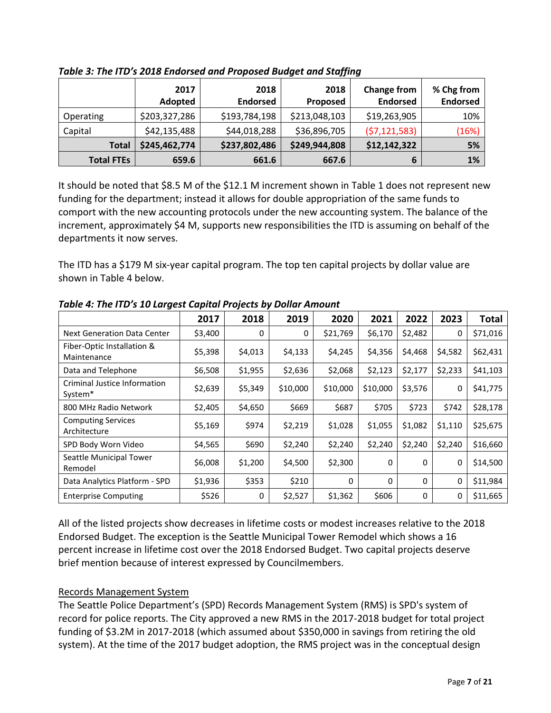|                   | 2017<br>Adopted | 2018<br><b>Endorsed</b> | 2018<br>Proposed | <b>Change from</b><br><b>Endorsed</b> | % Chg from<br><b>Endorsed</b> |
|-------------------|-----------------|-------------------------|------------------|---------------------------------------|-------------------------------|
| Operating         | \$203,327,286   | \$193,784,198           | \$213,048,103    | \$19,263,905                          | 10%                           |
| Capital           | \$42,135,488    | \$44,018,288            | \$36,896,705     | (57, 121, 583)                        | (16%)                         |
| <b>Total</b>      | \$245,462,774   | \$237,802,486           | \$249,944,808    | \$12,142,322                          | 5%                            |
| <b>Total FTEs</b> | 659.6           | 661.6                   | 667.6            | 6                                     | 1%                            |

*Table 3: The ITD's 2018 Endorsed and Proposed Budget and Staffing*

It should be noted that \$8.5 M of the \$12.1 M increment shown in Table 1 does not represent new funding for the department; instead it allows for double appropriation of the same funds to comport with the new accounting protocols under the new accounting system. The balance of the increment, approximately \$4 M, supports new responsibilities the ITD is assuming on behalf of the departments it now serves.

The ITD has a \$179 M six-year capital program. The top ten capital projects by dollar value are shown in Table 4 below.

|                                                     | 2017    | 2018    | 2019     | 2020     | 2021        | 2022     | 2023    | <b>Total</b> |
|-----------------------------------------------------|---------|---------|----------|----------|-------------|----------|---------|--------------|
| <b>Next Generation Data Center</b>                  | \$3,400 | 0       | 0        | \$21,769 | \$6,170     | \$2,482  | 0       | \$71,016     |
| Fiber-Optic Installation &<br>Maintenance           | \$5,398 | \$4,013 | \$4,133  | \$4,245  | \$4,356     | \$4,468  | \$4,582 | \$62,431     |
| Data and Telephone                                  | \$6,508 | \$1,955 | \$2,636  | \$2,068  | \$2,123     | \$2,177  | \$2,233 | \$41,103     |
| Criminal Justice Information<br>System <sup>*</sup> | \$2,639 | \$5,349 | \$10,000 | \$10,000 | \$10,000    | \$3,576  | 0       | \$41,775     |
| 800 MHz Radio Network                               | \$2,405 | \$4,650 | \$669    | \$687    | \$705       | \$723    | \$742   | \$28,178     |
| <b>Computing Services</b><br>Architecture           | \$5,169 | \$974   | \$2,219  | \$1,028  | \$1,055     | \$1,082  | \$1,110 | \$25,675     |
| SPD Body Worn Video                                 | \$4,565 | \$690   | \$2,240  | \$2,240  | \$2,240     | \$2,240  | \$2,240 | \$16,660     |
| Seattle Municipal Tower<br>Remodel                  | \$6,008 | \$1,200 | \$4,500  | \$2,300  | $\Omega$    | 0        | 0       | \$14,500     |
| Data Analytics Platform - SPD                       | \$1,936 | \$353   | \$210    | 0        | $\mathbf 0$ | $\Omega$ | 0       | \$11,984     |
| <b>Enterprise Computing</b>                         | \$526   | 0       | \$2,527  | \$1,362  | \$606       | $\Omega$ | 0       | \$11,665     |

*Table 4: The ITD's 10 Largest Capital Projects by Dollar Amount*

All of the listed projects show decreases in lifetime costs or modest increases relative to the 2018 Endorsed Budget. The exception is the Seattle Municipal Tower Remodel which shows a 16 percent increase in lifetime cost over the 2018 Endorsed Budget. Two capital projects deserve brief mention because of interest expressed by Councilmembers.

# Records Management System

The Seattle Police Department's (SPD) Records Management System (RMS) is SPD's system of record for police reports. The City approved a new RMS in the 2017-2018 budget for total project funding of \$3.2M in 2017-2018 (which assumed about \$350,000 in savings from retiring the old system). At the time of the 2017 budget adoption, the RMS project was in the conceptual design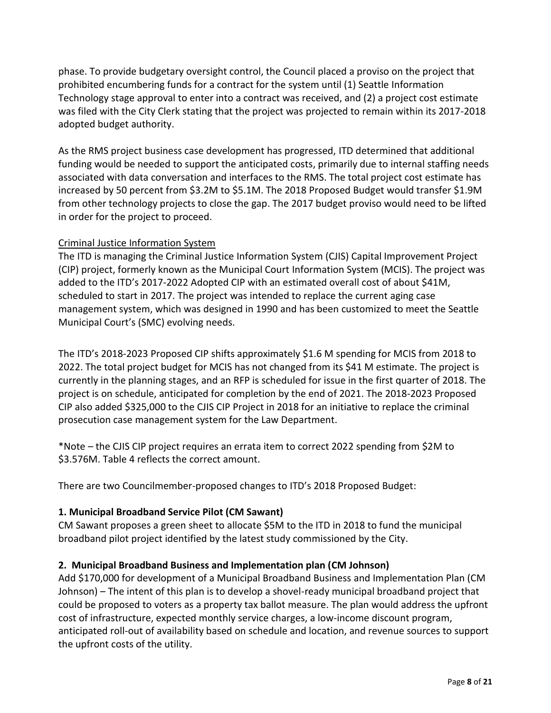phase. To provide budgetary oversight control, the Council placed a proviso on the project that prohibited encumbering funds for a contract for the system until (1) Seattle Information Technology stage approval to enter into a contract was received, and (2) a project cost estimate was filed with the City Clerk stating that the project was projected to remain within its 2017-2018 adopted budget authority.

As the RMS project business case development has progressed, ITD determined that additional funding would be needed to support the anticipated costs, primarily due to internal staffing needs associated with data conversation and interfaces to the RMS. The total project cost estimate has increased by 50 percent from \$3.2M to \$5.1M. The 2018 Proposed Budget would transfer \$1.9M from other technology projects to close the gap. The 2017 budget proviso would need to be lifted in order for the project to proceed.

### Criminal Justice Information System

The ITD is managing the Criminal Justice Information System (CJIS) Capital Improvement Project (CIP) project, formerly known as the Municipal Court Information System (MCIS). The project was added to the ITD's 2017-2022 Adopted CIP with an estimated overall cost of about \$41M, scheduled to start in 2017. The project was intended to replace the current aging case management system, which was designed in 1990 and has been customized to meet the Seattle Municipal Court's (SMC) evolving needs.

The ITD's 2018-2023 Proposed CIP shifts approximately \$1.6 M spending for MCIS from 2018 to 2022. The total project budget for MCIS has not changed from its \$41 M estimate. The project is currently in the planning stages, and an RFP is scheduled for issue in the first quarter of 2018. The project is on schedule, anticipated for completion by the end of 2021. The 2018-2023 Proposed CIP also added \$325,000 to the CJIS CIP Project in 2018 for an initiative to replace the criminal prosecution case management system for the Law Department.

\*Note – the CJIS CIP project requires an errata item to correct 2022 spending from \$2M to \$3.576M. Table 4 reflects the correct amount.

There are two Councilmember-proposed changes to ITD's 2018 Proposed Budget:

### **1. Municipal Broadband Service Pilot (CM Sawant)**

CM Sawant proposes a green sheet to allocate \$5M to the ITD in 2018 to fund the municipal broadband pilot project identified by the latest study commissioned by the City.

#### **2. Municipal Broadband Business and Implementation plan (CM Johnson)**

Add \$170,000 for development of a Municipal Broadband Business and Implementation Plan (CM Johnson) – The intent of this plan is to develop a shovel-ready municipal broadband project that could be proposed to voters as a property tax ballot measure. The plan would address the upfront cost of infrastructure, expected monthly service charges, a low-income discount program, anticipated roll-out of availability based on schedule and location, and revenue sources to support the upfront costs of the utility.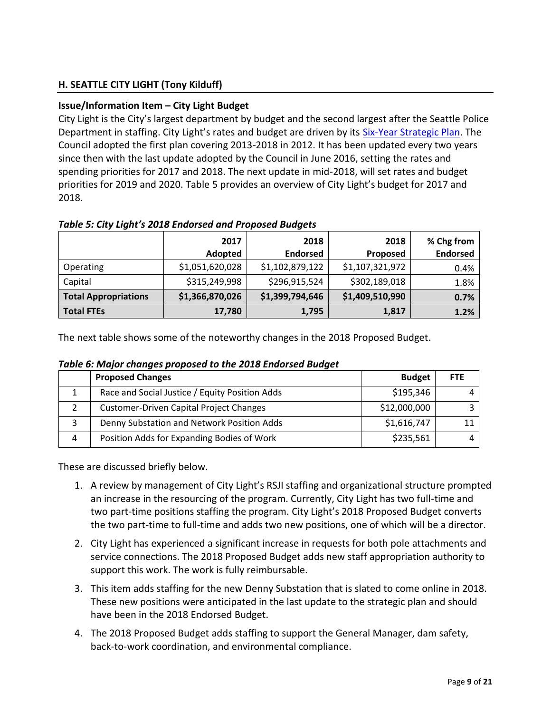# **H. SEATTLE CITY LIGHT (Tony Kilduff)**

#### **Issue/Information Item – City Light Budget**

City Light is the City's largest department by budget and the second largest after the Seattle Police Department in staffing. City Light's rates and budget are driven by its [Six-Year Strategic Plan.](http://www.seattle.gov/light/stratplan/docs/2017-2022%20Strategic%20Plan%20Document.pdf) The Council adopted the first plan covering 2013-2018 in 2012. It has been updated every two years since then with the last update adopted by the Council in June 2016, setting the rates and spending priorities for 2017 and 2018. The next update in mid-2018, will set rates and budget priorities for 2019 and 2020. Table 5 provides an overview of City Light's budget for 2017 and 2018.

|                             | 2017<br>Adopted | 2018<br><b>Endorsed</b> | 2018<br><b>Proposed</b> | % Chg from<br><b>Endorsed</b> |
|-----------------------------|-----------------|-------------------------|-------------------------|-------------------------------|
| Operating                   | \$1,051,620,028 | \$1,102,879,122         | \$1,107,321,972         | 0.4%                          |
| Capital                     | \$315,249,998   | \$296,915,524           | \$302,189,018           | 1.8%                          |
| <b>Total Appropriations</b> | \$1,366,870,026 | \$1,399,794,646         | \$1,409,510,990         | 0.7%                          |
| Total FTEs                  | 17,780          | 1,795                   | 1,817                   | 1.2%                          |

The next table shows some of the noteworthy changes in the 2018 Proposed Budget.

|   | <b>Proposed Changes</b>                        | <b>Budget</b> | <b>FTE</b> |
|---|------------------------------------------------|---------------|------------|
|   | Race and Social Justice / Equity Position Adds | \$195,346     |            |
|   | <b>Customer-Driven Capital Project Changes</b> | \$12,000,000  |            |
|   | Denny Substation and Network Position Adds     | \$1,616,747   |            |
| 4 | Position Adds for Expanding Bodies of Work     | \$235,561     |            |

*Table 6: Major changes proposed to the 2018 Endorsed Budget*

These are discussed briefly below.

- 1. A review by management of City Light's RSJI staffing and organizational structure prompted an increase in the resourcing of the program. Currently, City Light has two full-time and two part-time positions staffing the program. City Light's 2018 Proposed Budget converts the two part-time to full-time and adds two new positions, one of which will be a director.
- 2. City Light has experienced a significant increase in requests for both pole attachments and service connections. The 2018 Proposed Budget adds new staff appropriation authority to support this work. The work is fully reimbursable.
- 3. This item adds staffing for the new Denny Substation that is slated to come online in 2018. These new positions were anticipated in the last update to the strategic plan and should have been in the 2018 Endorsed Budget.
- 4. The 2018 Proposed Budget adds staffing to support the General Manager, dam safety, back-to-work coordination, and environmental compliance.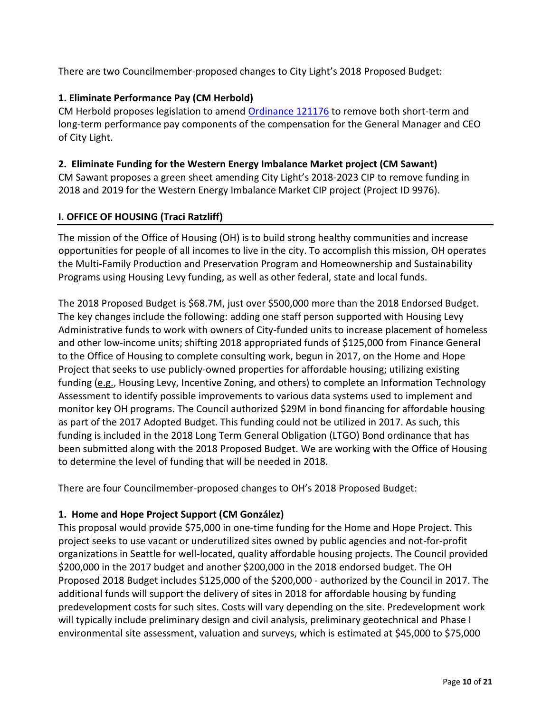There are two Councilmember-proposed changes to City Light's 2018 Proposed Budget:

# **1. Eliminate Performance Pay (CM Herbold)**

CM Herbold proposes legislation to amend [Ordinance 121176](http://clerk.seattle.gov/~scripts/nph-brs.exe?s3=&s4=121176&s5=&s1=&s2=&S6=&Sect4=AND&l=0&Sect2=THESON&Sect3=PLURON&Sect5=CBORY&Sect6=HITOFF&d=ORDF&p=1&u=%2F%7Epublic%2Fcbor1.htm&r=1&f=G) to remove both short-term and long-term performance pay components of the compensation for the General Manager and CEO of City Light.

#### **2. Eliminate Funding for the Western Energy Imbalance Market project (CM Sawant)**

CM Sawant proposes a green sheet amending City Light's 2018-2023 CIP to remove funding in 2018 and 2019 for the Western Energy Imbalance Market CIP project (Project ID 9976).

### **I. OFFICE OF HOUSING (Traci Ratzliff)**

The mission of the Office of Housing (OH) is to build strong healthy communities and increase opportunities for people of all incomes to live in the city. To accomplish this mission, OH operates the Multi-Family Production and Preservation Program and Homeownership and Sustainability Programs using Housing Levy funding, as well as other federal, state and local funds.

The 2018 Proposed Budget is \$68.7M, just over \$500,000 more than the 2018 Endorsed Budget. The key changes include the following: adding one staff person supported with Housing Levy Administrative funds to work with owners of City-funded units to increase placement of homeless and other low-income units; shifting 2018 appropriated funds of \$125,000 from Finance General to the Office of Housing to complete consulting work, begun in 2017, on the Home and Hope Project that seeks to use publicly-owned properties for affordable housing; utilizing existing funding (e.g., Housing Levy, Incentive Zoning, and others) to complete an Information Technology Assessment to identify possible improvements to various data systems used to implement and monitor key OH programs. The Council authorized \$29M in bond financing for affordable housing as part of the 2017 Adopted Budget. This funding could not be utilized in 2017. As such, this funding is included in the 2018 Long Term General Obligation (LTGO) Bond ordinance that has been submitted along with the 2018 Proposed Budget. We are working with the Office of Housing to determine the level of funding that will be needed in 2018.

There are four Councilmember-proposed changes to OH's 2018 Proposed Budget:

### **1. Home and Hope Project Support (CM González)**

This proposal would provide \$75,000 in one-time funding for the Home and Hope Project. This project seeks to use vacant or underutilized sites owned by public agencies and not-for-profit organizations in Seattle for well-located, quality affordable housing projects. The Council provided \$200,000 in the 2017 budget and another \$200,000 in the 2018 endorsed budget. The OH Proposed 2018 Budget includes \$125,000 of the \$200,000 - authorized by the Council in 2017. The additional funds will support the delivery of sites in 2018 for affordable housing by funding predevelopment costs for such sites. Costs will vary depending on the site. Predevelopment work will typically include preliminary design and civil analysis, preliminary geotechnical and Phase I environmental site assessment, valuation and surveys, which is estimated at \$45,000 to \$75,000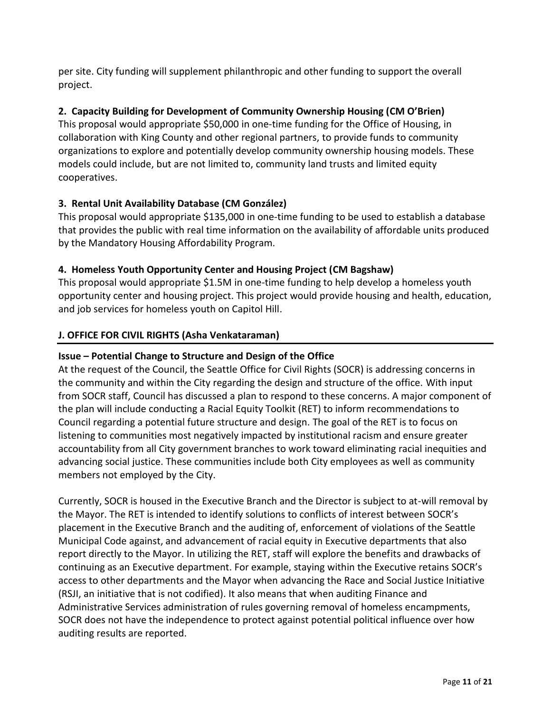per site. City funding will supplement philanthropic and other funding to support the overall project.

# **2. Capacity Building for Development of Community Ownership Housing (CM O'Brien)**

This proposal would appropriate \$50,000 in one-time funding for the Office of Housing, in collaboration with King County and other regional partners, to provide funds to community organizations to explore and potentially develop community ownership housing models. These models could include, but are not limited to, community land trusts and limited equity cooperatives.

# **3. Rental Unit Availability Database (CM González)**

This proposal would appropriate \$135,000 in one-time funding to be used to establish a database that provides the public with real time information on the availability of affordable units produced by the Mandatory Housing Affordability Program.

### **4. Homeless Youth Opportunity Center and Housing Project (CM Bagshaw)**

This proposal would appropriate \$1.5M in one-time funding to help develop a homeless youth opportunity center and housing project. This project would provide housing and health, education, and job services for homeless youth on Capitol Hill.

### **J. OFFICE FOR CIVIL RIGHTS (Asha Venkataraman)**

### **Issue – Potential Change to Structure and Design of the Office**

At the request of the Council, the Seattle Office for Civil Rights (SOCR) is addressing concerns in the community and within the City regarding the design and structure of the office. With input from SOCR staff, Council has discussed a plan to respond to these concerns. A major component of the plan will include conducting a Racial Equity Toolkit (RET) to inform recommendations to Council regarding a potential future structure and design. The goal of the RET is to focus on listening to communities most negatively impacted by institutional racism and ensure greater accountability from all City government branches to work toward eliminating racial inequities and advancing social justice. These communities include both City employees as well as community members not employed by the City.

Currently, SOCR is housed in the Executive Branch and the Director is subject to at-will removal by the Mayor. The RET is intended to identify solutions to conflicts of interest between SOCR's placement in the Executive Branch and the auditing of, enforcement of violations of the Seattle Municipal Code against, and advancement of racial equity in Executive departments that also report directly to the Mayor. In utilizing the RET, staff will explore the benefits and drawbacks of continuing as an Executive department. For example, staying within the Executive retains SOCR's access to other departments and the Mayor when advancing the Race and Social Justice Initiative (RSJI, an initiative that is not codified). It also means that when auditing Finance and Administrative Services administration of rules governing removal of homeless encampments, SOCR does not have the independence to protect against potential political influence over how auditing results are reported.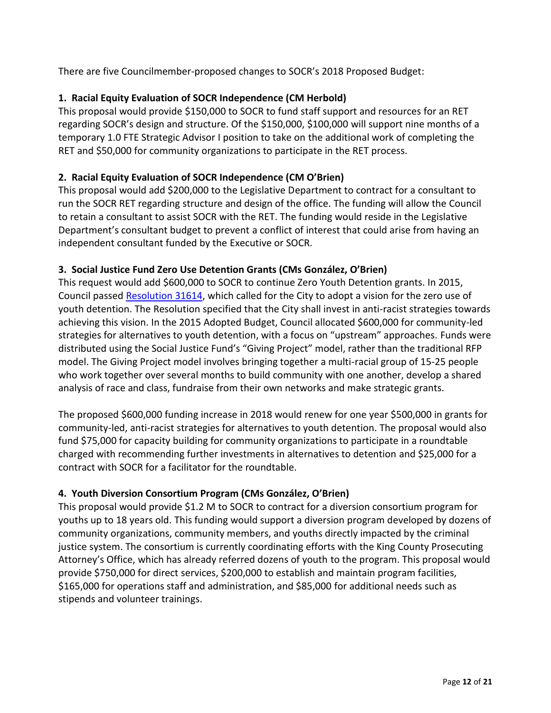There are five Councilmember-proposed changes to SOCR's 2018 Proposed Budget:

# **1. Racial Equity Evaluation of SOCR Independence (CM Herbold)**

This proposal would provide \$150,000 to SOCR to fund staff support and resources for an RET regarding SOCR's design and structure. Of the \$150,000, \$100,000 will support nine months of a temporary 1.0 FTE Strategic Advisor I position to take on the additional work of completing the RET and \$50,000 for community organizations to participate in the RET process.

# **2. Racial Equity Evaluation of SOCR Independence (CM O'Brien)**

This proposal would add \$200,000 to the Legislative Department to contract for a consultant to run the SOCR RET regarding structure and design of the office. The funding will allow the Council to retain a consultant to assist SOCR with the RET. The funding would reside in the Legislative Department's consultant budget to prevent a conflict of interest that could arise from having an independent consultant funded by the Executive or SOCR.

# **3. Social Justice Fund Zero Use Detention Grants (CMs González, O'Brien)**

This request would add \$600,000 to SOCR to continue Zero Youth Detention grants. In 2015, Council passed [Resolution 31614,](https://seattle.legistar.com/LegislationDetail.aspx?ID=2458519&GUID=93E5F1D7-42A7-4899-BB78-03150F043416&Options=Advanced&Search=) which called for the City to adopt a vision for the zero use of youth detention. The Resolution specified that the City shall invest in anti-racist strategies towards achieving this vision. In the 2015 Adopted Budget, Council allocated \$600,000 for community-led strategies for alternatives to youth detention, with a focus on "upstream" approaches. Funds were distributed using the Social Justice Fund's "Giving Project" model, rather than the traditional RFP model. The Giving Project model involves bringing together a multi-racial group of 15-25 people who work together over several months to build community with one another, develop a shared analysis of race and class, fundraise from their own networks and make strategic grants.

The proposed \$600,000 funding increase in 2018 would renew for one year \$500,000 in grants for community-led, anti-racist strategies for alternatives to youth detention. The proposal would also fund \$75,000 for capacity building for community organizations to participate in a roundtable charged with recommending further investments in alternatives to detention and \$25,000 for a contract with SOCR for a facilitator for the roundtable.

# **4. Youth Diversion Consortium Program (CMs González, O'Brien)**

This proposal would provide \$1.2 M to SOCR to contract for a diversion consortium program for youths up to 18 years old. This funding would support a diversion program developed by dozens of community organizations, community members, and youths directly impacted by the criminal justice system. The consortium is currently coordinating efforts with the King County Prosecuting Attorney's Office, which has already referred dozens of youth to the program. This proposal would provide \$750,000 for direct services, \$200,000 to establish and maintain program facilities, \$165,000 for operations staff and administration, and \$85,000 for additional needs such as stipends and volunteer trainings.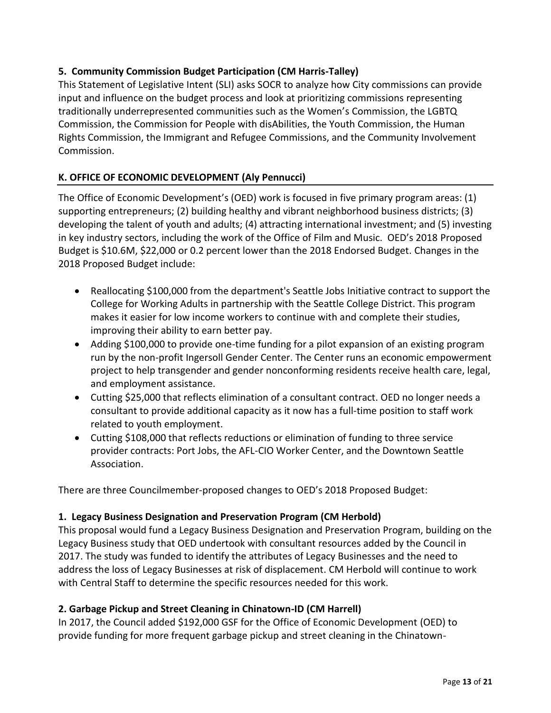### **5. Community Commission Budget Participation (CM Harris-Talley)**

This Statement of Legislative Intent (SLI) asks SOCR to analyze how City commissions can provide input and influence on the budget process and look at prioritizing commissions representing traditionally underrepresented communities such as the Women's Commission, the LGBTQ Commission, the Commission for People with disAbilities, the Youth Commission, the Human Rights Commission, the Immigrant and Refugee Commissions, and the Community Involvement Commission.

# **K. OFFICE OF ECONOMIC DEVELOPMENT (Aly Pennucci)**

The Office of Economic Development's (OED) work is focused in five primary program areas: (1) supporting entrepreneurs; (2) building healthy and vibrant neighborhood business districts; (3) developing the talent of youth and adults; (4) attracting international investment; and (5) investing in key industry sectors, including the work of the Office of Film and Music. OED's 2018 Proposed Budget is \$10.6M, \$22,000 or 0.2 percent lower than the 2018 Endorsed Budget. Changes in the 2018 Proposed Budget include:

- Reallocating \$100,000 from the department's Seattle Jobs Initiative contract to support the College for Working Adults in partnership with the Seattle College District. This program makes it easier for low income workers to continue with and complete their studies, improving their ability to earn better pay.
- Adding \$100,000 to provide one-time funding for a pilot expansion of an existing program run by the non-profit Ingersoll Gender Center. The Center runs an economic empowerment project to help transgender and gender nonconforming residents receive health care, legal, and employment assistance.
- Cutting \$25,000 that reflects elimination of a consultant contract. OED no longer needs a consultant to provide additional capacity as it now has a full-time position to staff work related to youth employment.
- Cutting \$108,000 that reflects reductions or elimination of funding to three service provider contracts: Port Jobs, the AFL-CIO Worker Center, and the Downtown Seattle Association.

There are three Councilmember-proposed changes to OED's 2018 Proposed Budget:

### **1. Legacy Business Designation and Preservation Program (CM Herbold)**

This proposal would fund a Legacy Business Designation and Preservation Program, building on the Legacy Business study that OED undertook with consultant resources added by the Council in 2017. The study was funded to identify the attributes of Legacy Businesses and the need to address the loss of Legacy Businesses at risk of displacement. CM Herbold will continue to work with Central Staff to determine the specific resources needed for this work.

### **2. Garbage Pickup and Street Cleaning in Chinatown-ID (CM Harrell)**

In 2017, the Council added \$192,000 GSF for the Office of Economic Development (OED) to provide funding for more frequent garbage pickup and street cleaning in the Chinatown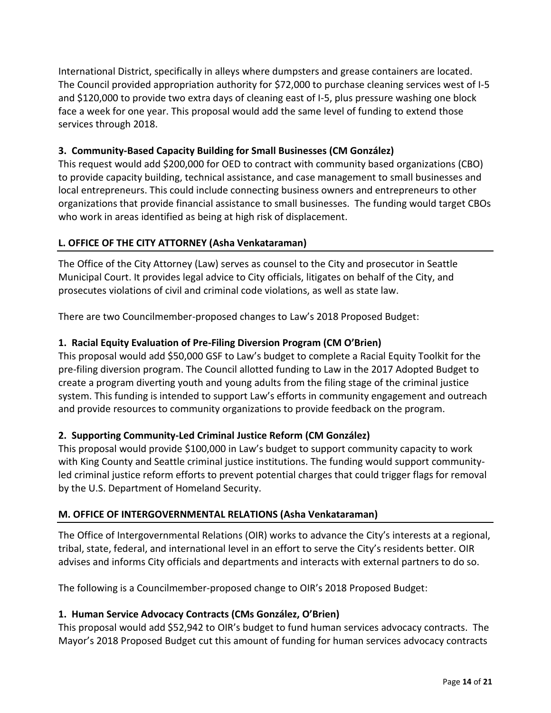International District, specifically in alleys where dumpsters and grease containers are located. The Council provided appropriation authority for \$72,000 to purchase cleaning services west of I-5 and \$120,000 to provide two extra days of cleaning east of I-5, plus pressure washing one block face a week for one year. This proposal would add the same level of funding to extend those services through 2018.

### **3. Community-Based Capacity Building for Small Businesses (CM González)**

This request would add \$200,000 for OED to contract with community based organizations (CBO) to provide capacity building, technical assistance, and case management to small businesses and local entrepreneurs. This could include connecting business owners and entrepreneurs to other organizations that provide financial assistance to small businesses. The funding would target CBOs who work in areas identified as being at high risk of displacement.

### **L. OFFICE OF THE CITY ATTORNEY (Asha Venkataraman)**

The Office of the City Attorney (Law) serves as counsel to the City and prosecutor in Seattle Municipal Court. It provides legal advice to City officials, litigates on behalf of the City, and prosecutes violations of civil and criminal code violations, as well as state law.

There are two Councilmember-proposed changes to Law's 2018 Proposed Budget:

### **1. Racial Equity Evaluation of Pre-Filing Diversion Program (CM O'Brien)**

This proposal would add \$50,000 GSF to Law's budget to complete a Racial Equity Toolkit for the pre-filing diversion program. The Council allotted funding to Law in the 2017 Adopted Budget to create a program diverting youth and young adults from the filing stage of the criminal justice system. This funding is intended to support Law's efforts in community engagement and outreach and provide resources to community organizations to provide feedback on the program.

### **2. Supporting Community-Led Criminal Justice Reform (CM González)**

This proposal would provide \$100,000 in Law's budget to support community capacity to work with King County and Seattle criminal justice institutions. The funding would support communityled criminal justice reform efforts to prevent potential charges that could trigger flags for removal by the U.S. Department of Homeland Security.

### **M. OFFICE OF INTERGOVERNMENTAL RELATIONS (Asha Venkataraman)**

The Office of Intergovernmental Relations (OIR) works to advance the City's interests at a regional, tribal, state, federal, and international level in an effort to serve the City's residents better. OIR advises and informs City officials and departments and interacts with external partners to do so.

The following is a Councilmember-proposed change to OIR's 2018 Proposed Budget:

### **1. Human Service Advocacy Contracts (CMs González, O'Brien)**

This proposal would add \$52,942 to OIR's budget to fund human services advocacy contracts. The Mayor's 2018 Proposed Budget cut this amount of funding for human services advocacy contracts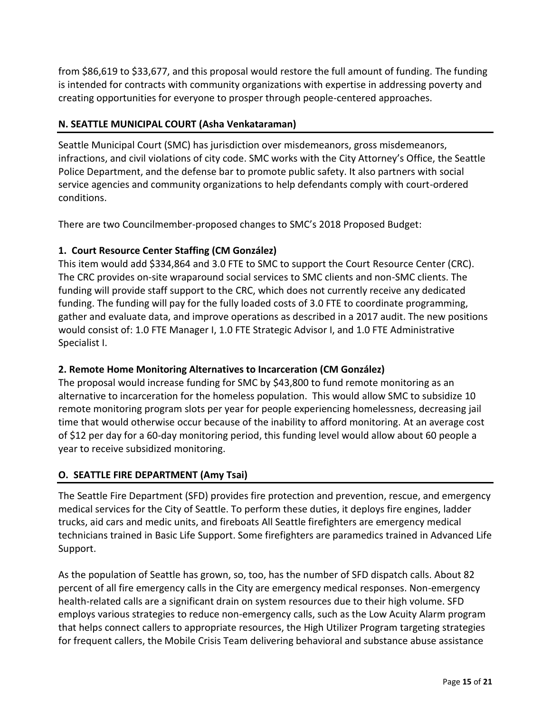from \$86,619 to \$33,677, and this proposal would restore the full amount of funding. The funding is intended for contracts with community organizations with expertise in addressing poverty and creating opportunities for everyone to prosper through people-centered approaches.

### **N. SEATTLE MUNICIPAL COURT (Asha Venkataraman)**

Seattle Municipal Court (SMC) has jurisdiction over misdemeanors, gross misdemeanors, infractions, and civil violations of city code. SMC works with the City Attorney's Office, the Seattle Police Department, and the defense bar to promote public safety. It also partners with social service agencies and community organizations to help defendants comply with court-ordered conditions.

There are two Councilmember-proposed changes to SMC's 2018 Proposed Budget:

# **1. Court Resource Center Staffing (CM González)**

This item would add \$334,864 and 3.0 FTE to SMC to support the Court Resource Center (CRC). The CRC provides on-site wraparound social services to SMC clients and non-SMC clients. The funding will provide staff support to the CRC, which does not currently receive any dedicated funding. The funding will pay for the fully loaded costs of 3.0 FTE to coordinate programming, gather and evaluate data, and improve operations as described in a 2017 audit. The new positions would consist of: 1.0 FTE Manager I, 1.0 FTE Strategic Advisor I, and 1.0 FTE Administrative Specialist I.

# **2. Remote Home Monitoring Alternatives to Incarceration (CM González)**

The proposal would increase funding for SMC by \$43,800 to fund remote monitoring as an alternative to incarceration for the homeless population. This would allow SMC to subsidize 10 remote monitoring program slots per year for people experiencing homelessness, decreasing jail time that would otherwise occur because of the inability to afford monitoring. At an average cost of \$12 per day for a 60-day monitoring period, this funding level would allow about 60 people a year to receive subsidized monitoring.

# **O. SEATTLE FIRE DEPARTMENT (Amy Tsai)**

The Seattle Fire Department (SFD) provides fire protection and prevention, rescue, and emergency medical services for the City of Seattle. To perform these duties, it deploys fire engines, ladder trucks, aid cars and medic units, and fireboats All Seattle firefighters are emergency medical technicians trained in Basic Life Support. Some firefighters are paramedics trained in Advanced Life Support.

As the population of Seattle has grown, so, too, has the number of SFD dispatch calls. About 82 percent of all fire emergency calls in the City are emergency medical responses. Non-emergency health-related calls are a significant drain on system resources due to their high volume. SFD employs various strategies to reduce non-emergency calls, such as the Low Acuity Alarm program that helps connect callers to appropriate resources, the High Utilizer Program targeting strategies for frequent callers, the Mobile Crisis Team delivering behavioral and substance abuse assistance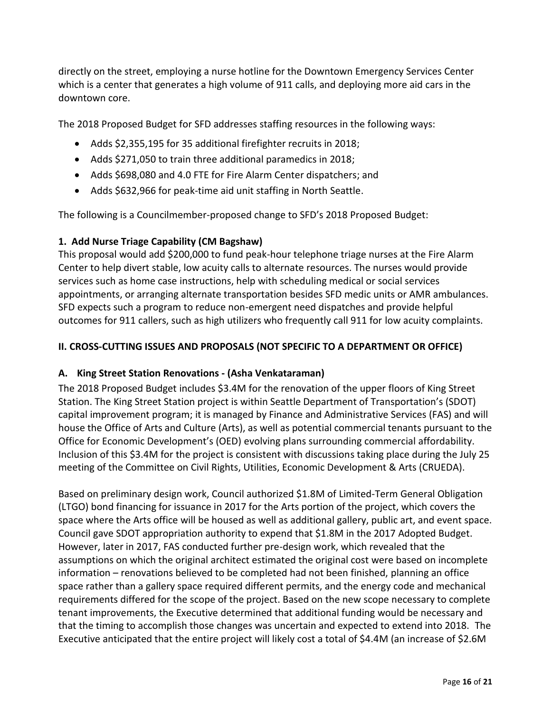directly on the street, employing a nurse hotline for the Downtown Emergency Services Center which is a center that generates a high volume of 911 calls, and deploying more aid cars in the downtown core.

The 2018 Proposed Budget for SFD addresses staffing resources in the following ways:

- Adds \$2,355,195 for 35 additional firefighter recruits in 2018;
- Adds \$271,050 to train three additional paramedics in 2018;
- Adds \$698,080 and 4.0 FTE for Fire Alarm Center dispatchers; and
- Adds \$632,966 for peak-time aid unit staffing in North Seattle.

The following is a Councilmember-proposed change to SFD's 2018 Proposed Budget:

# **1. Add Nurse Triage Capability (CM Bagshaw)**

This proposal would add \$200,000 to fund peak-hour telephone triage nurses at the Fire Alarm Center to help divert stable, low acuity calls to alternate resources. The nurses would provide services such as home case instructions, help with scheduling medical or social services appointments, or arranging alternate transportation besides SFD medic units or AMR ambulances. SFD expects such a program to reduce non-emergent need dispatches and provide helpful outcomes for 911 callers, such as high utilizers who frequently call 911 for low acuity complaints.

# **II. CROSS-CUTTING ISSUES AND PROPOSALS (NOT SPECIFIC TO A DEPARTMENT OR OFFICE)**

### **A. King Street Station Renovations - (Asha Venkataraman)**

The 2018 Proposed Budget includes \$3.4M for the renovation of the upper floors of King Street Station. The King Street Station project is within Seattle Department of Transportation's (SDOT) capital improvement program; it is managed by Finance and Administrative Services (FAS) and will house the Office of Arts and Culture (Arts), as well as potential commercial tenants pursuant to the Office for Economic Development's (OED) evolving plans surrounding commercial affordability. Inclusion of this \$3.4M for the project is consistent with discussions taking place during the July 25 meeting of the Committee on Civil Rights, Utilities, Economic Development & Arts (CRUEDA).

Based on preliminary design work, Council authorized \$1.8M of Limited-Term General Obligation (LTGO) bond financing for issuance in 2017 for the Arts portion of the project, which covers the space where the Arts office will be housed as well as additional gallery, public art, and event space. Council gave SDOT appropriation authority to expend that \$1.8M in the 2017 Adopted Budget. However, later in 2017, FAS conducted further pre-design work, which revealed that the assumptions on which the original architect estimated the original cost were based on incomplete information – renovations believed to be completed had not been finished, planning an office space rather than a gallery space required different permits, and the energy code and mechanical requirements differed for the scope of the project. Based on the new scope necessary to complete tenant improvements, the Executive determined that additional funding would be necessary and that the timing to accomplish those changes was uncertain and expected to extend into 2018. The Executive anticipated that the entire project will likely cost a total of \$4.4M (an increase of \$2.6M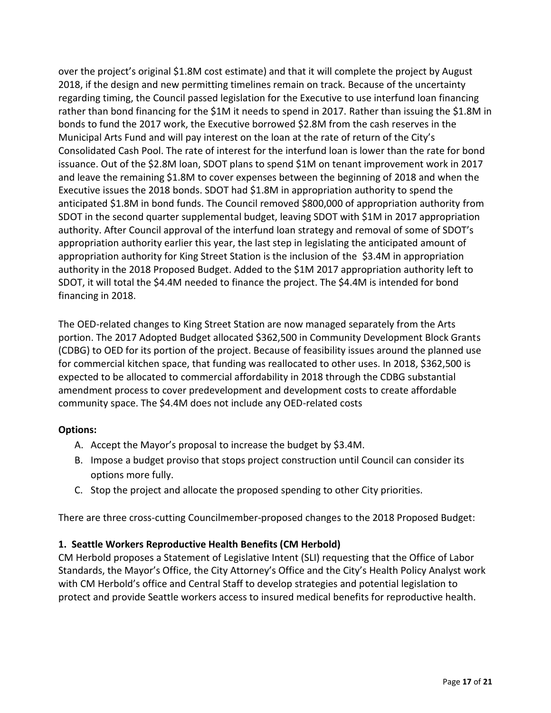over the project's original \$1.8M cost estimate) and that it will complete the project by August 2018, if the design and new permitting timelines remain on track. Because of the uncertainty regarding timing, the Council passed legislation for the Executive to use interfund loan financing rather than bond financing for the \$1M it needs to spend in 2017. Rather than issuing the \$1.8M in bonds to fund the 2017 work, the Executive borrowed \$2.8M from the cash reserves in the Municipal Arts Fund and will pay interest on the loan at the rate of return of the City's Consolidated Cash Pool. The rate of interest for the interfund loan is lower than the rate for bond issuance. Out of the \$2.8M loan, SDOT plans to spend \$1M on tenant improvement work in 2017 and leave the remaining \$1.8M to cover expenses between the beginning of 2018 and when the Executive issues the 2018 bonds. SDOT had \$1.8M in appropriation authority to spend the anticipated \$1.8M in bond funds. The Council removed \$800,000 of appropriation authority from SDOT in the second quarter supplemental budget, leaving SDOT with \$1M in 2017 appropriation authority. After Council approval of the interfund loan strategy and removal of some of SDOT's appropriation authority earlier this year, the last step in legislating the anticipated amount of appropriation authority for King Street Station is the inclusion of the \$3.4M in appropriation authority in the 2018 Proposed Budget. Added to the \$1M 2017 appropriation authority left to SDOT, it will total the \$4.4M needed to finance the project. The \$4.4M is intended for bond financing in 2018.

The OED-related changes to King Street Station are now managed separately from the Arts portion. The 2017 Adopted Budget allocated \$362,500 in Community Development Block Grants (CDBG) to OED for its portion of the project. Because of feasibility issues around the planned use for commercial kitchen space, that funding was reallocated to other uses. In 2018, \$362,500 is expected to be allocated to commercial affordability in 2018 through the CDBG substantial amendment process to cover predevelopment and development costs to create affordable community space. The \$4.4M does not include any OED-related costs

### **Options:**

- A. Accept the Mayor's proposal to increase the budget by \$3.4M.
- B. Impose a budget proviso that stops project construction until Council can consider its options more fully.
- C. Stop the project and allocate the proposed spending to other City priorities.

There are three cross-cutting Councilmember-proposed changes to the 2018 Proposed Budget:

### **1. Seattle Workers Reproductive Health Benefits (CM Herbold)**

CM Herbold proposes a Statement of Legislative Intent (SLI) requesting that the Office of Labor Standards, the Mayor's Office, the City Attorney's Office and the City's Health Policy Analyst work with CM Herbold's office and Central Staff to develop strategies and potential legislation to protect and provide Seattle workers access to insured medical benefits for reproductive health.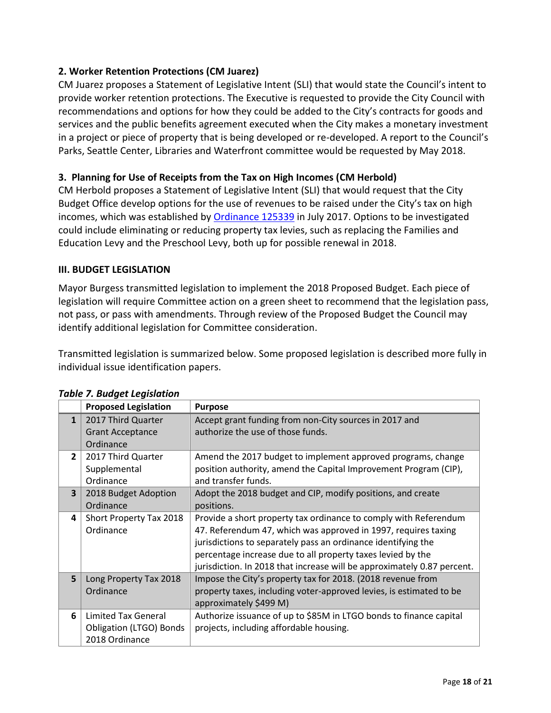### **2. Worker Retention Protections (CM Juarez)**

CM Juarez proposes a Statement of Legislative Intent (SLI) that would state the Council's intent to provide worker retention protections. The Executive is requested to provide the City Council with recommendations and options for how they could be added to the City's contracts for goods and services and the public benefits agreement executed when the City makes a monetary investment in a project or piece of property that is being developed or re-developed. A report to the Council's Parks, Seattle Center, Libraries and Waterfront committee would be requested by May 2018.

#### **3. Planning for Use of Receipts from the Tax on High Incomes (CM Herbold)**

CM Herbold proposes a Statement of Legislative Intent (SLI) that would request that the City Budget Office develop options for the use of revenues to be raised under the City's tax on high incomes, which was established by [Ordinance 125339](https://seattle.legistar.com/LegislationDetail.aspx?ID=3085475&GUID=03909BA9-0535-4A39-9B4A-7C561C7A604D&Options=Advanced&Search=) in July 2017. Options to be investigated could include eliminating or reducing property tax levies, such as replacing the Families and Education Levy and the Preschool Levy, both up for possible renewal in 2018.

#### **III. BUDGET LEGISLATION**

Mayor Burgess transmitted legislation to implement the 2018 Proposed Budget. Each piece of legislation will require Committee action on a green sheet to recommend that the legislation pass, not pass, or pass with amendments. Through review of the Proposed Budget the Council may identify additional legislation for Committee consideration.

Transmitted legislation is summarized below. Some proposed legislation is described more fully in individual issue identification papers.

|                | <b>Proposed Legislation</b>                                             | <b>Purpose</b>                                                                                                                                                                                                                                                                                                                                |
|----------------|-------------------------------------------------------------------------|-----------------------------------------------------------------------------------------------------------------------------------------------------------------------------------------------------------------------------------------------------------------------------------------------------------------------------------------------|
| $\mathbf{1}$   | 2017 Third Quarter<br><b>Grant Acceptance</b><br>Ordinance              | Accept grant funding from non-City sources in 2017 and<br>authorize the use of those funds.                                                                                                                                                                                                                                                   |
| $\overline{2}$ | 2017 Third Quarter<br>Supplemental<br>Ordinance                         | Amend the 2017 budget to implement approved programs, change<br>position authority, amend the Capital Improvement Program (CIP),<br>and transfer funds.                                                                                                                                                                                       |
| 3              | 2018 Budget Adoption<br>Ordinance                                       | Adopt the 2018 budget and CIP, modify positions, and create<br>positions.                                                                                                                                                                                                                                                                     |
| 4              | Short Property Tax 2018<br>Ordinance                                    | Provide a short property tax ordinance to comply with Referendum<br>47. Referendum 47, which was approved in 1997, requires taxing<br>jurisdictions to separately pass an ordinance identifying the<br>percentage increase due to all property taxes levied by the<br>jurisdiction. In 2018 that increase will be approximately 0.87 percent. |
| 5              | Long Property Tax 2018<br>Ordinance                                     | Impose the City's property tax for 2018. (2018 revenue from<br>property taxes, including voter-approved levies, is estimated to be<br>approximately \$499 M)                                                                                                                                                                                  |
| 6              | Limited Tax General<br><b>Obligation (LTGO) Bonds</b><br>2018 Ordinance | Authorize issuance of up to \$85M in LTGO bonds to finance capital<br>projects, including affordable housing.                                                                                                                                                                                                                                 |

#### *Table 7. Budget Legislation*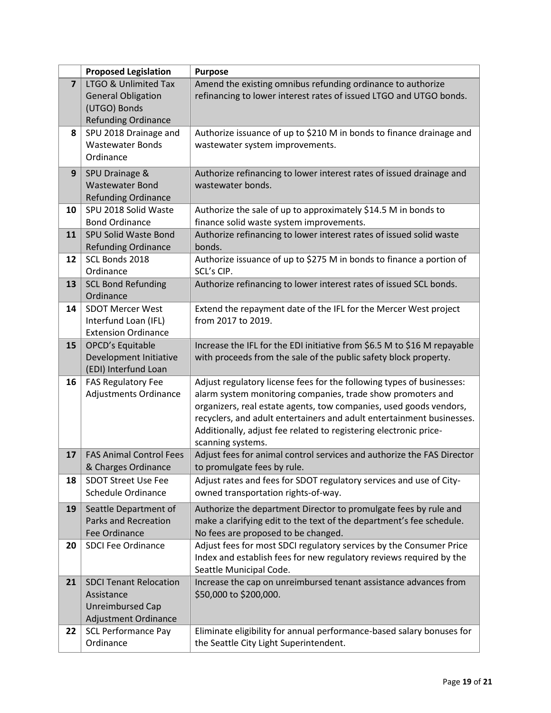|                | <b>Proposed Legislation</b>    | <b>Purpose</b>                                                           |
|----------------|--------------------------------|--------------------------------------------------------------------------|
| $\overline{7}$ | LTGO & Unlimited Tax           | Amend the existing omnibus refunding ordinance to authorize              |
|                | <b>General Obligation</b>      | refinancing to lower interest rates of issued LTGO and UTGO bonds.       |
|                | (UTGO) Bonds                   |                                                                          |
|                | <b>Refunding Ordinance</b>     |                                                                          |
| 8              | SPU 2018 Drainage and          | Authorize issuance of up to \$210 M in bonds to finance drainage and     |
|                | <b>Wastewater Bonds</b>        | wastewater system improvements.                                          |
|                | Ordinance                      |                                                                          |
| 9              | SPU Drainage &                 | Authorize refinancing to lower interest rates of issued drainage and     |
|                | <b>Wastewater Bond</b>         | wastewater bonds.                                                        |
|                | <b>Refunding Ordinance</b>     |                                                                          |
| 10             | SPU 2018 Solid Waste           | Authorize the sale of up to approximately \$14.5 M in bonds to           |
|                | <b>Bond Ordinance</b>          | finance solid waste system improvements.                                 |
| 11             | <b>SPU Solid Waste Bond</b>    | Authorize refinancing to lower interest rates of issued solid waste      |
|                | <b>Refunding Ordinance</b>     | bonds.                                                                   |
| 12             | SCL Bonds 2018                 | Authorize issuance of up to \$275 M in bonds to finance a portion of     |
|                | Ordinance                      | SCL's CIP.                                                               |
| 13             | <b>SCL Bond Refunding</b>      | Authorize refinancing to lower interest rates of issued SCL bonds.       |
|                | Ordinance                      |                                                                          |
| 14             | <b>SDOT Mercer West</b>        | Extend the repayment date of the IFL for the Mercer West project         |
|                | Interfund Loan (IFL)           | from 2017 to 2019.                                                       |
|                | <b>Extension Ordinance</b>     |                                                                          |
| 15             | OPCD's Equitable               | Increase the IFL for the EDI initiative from \$6.5 M to \$16 M repayable |
|                | Development Initiative         | with proceeds from the sale of the public safety block property.         |
|                | (EDI) Interfund Loan           |                                                                          |
| 16             | <b>FAS Regulatory Fee</b>      | Adjust regulatory license fees for the following types of businesses:    |
|                | Adjustments Ordinance          | alarm system monitoring companies, trade show promoters and              |
|                |                                | organizers, real estate agents, tow companies, used goods vendors,       |
|                |                                | recyclers, and adult entertainers and adult entertainment businesses.    |
|                |                                | Additionally, adjust fee related to registering electronic price-        |
|                |                                | scanning systems.                                                        |
| 17             | <b>FAS Animal Control Fees</b> | Adjust fees for animal control services and authorize the FAS Director   |
|                | & Charges Ordinance            | to promulgate fees by rule.                                              |
| 18             | <b>SDOT Street Use Fee</b>     | Adjust rates and fees for SDOT regulatory services and use of City-      |
|                | <b>Schedule Ordinance</b>      | owned transportation rights-of-way.                                      |
| 19             | Seattle Department of          | Authorize the department Director to promulgate fees by rule and         |
|                | <b>Parks and Recreation</b>    | make a clarifying edit to the text of the department's fee schedule.     |
|                | Fee Ordinance                  | No fees are proposed to be changed.                                      |
| 20             | <b>SDCI Fee Ordinance</b>      | Adjust fees for most SDCI regulatory services by the Consumer Price      |
|                |                                | Index and establish fees for new regulatory reviews required by the      |
|                |                                | Seattle Municipal Code.                                                  |
| 21             | <b>SDCI Tenant Relocation</b>  | Increase the cap on unreimbursed tenant assistance advances from         |
|                | Assistance                     | \$50,000 to \$200,000.                                                   |
|                | <b>Unreimbursed Cap</b>        |                                                                          |
|                | Adjustment Ordinance           |                                                                          |
| 22             | <b>SCL Performance Pay</b>     | Eliminate eligibility for annual performance-based salary bonuses for    |
|                | Ordinance                      | the Seattle City Light Superintendent.                                   |
|                |                                |                                                                          |